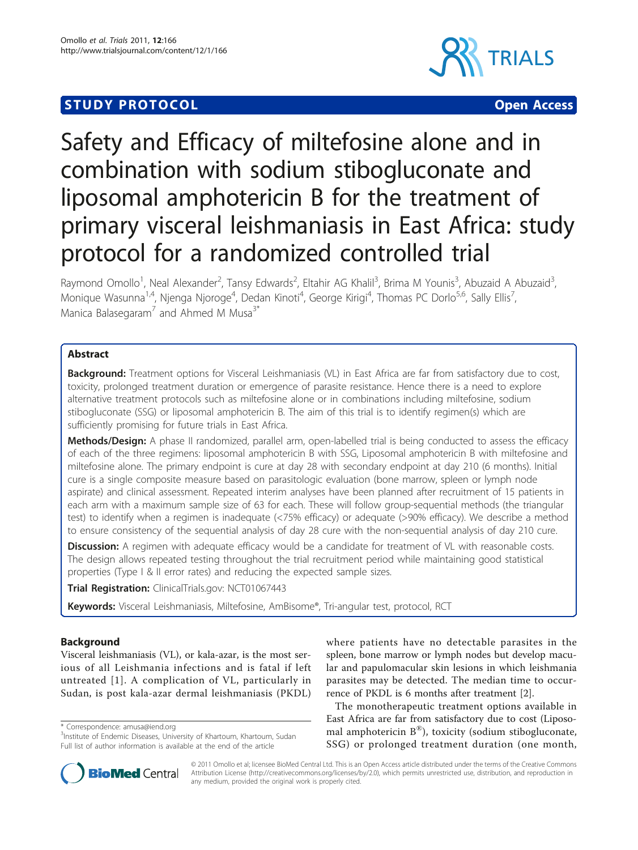# **STUDY PROTOCOL CONSUMING THE CONSUMING OPEN ACCESS**



# Safety and Efficacy of miltefosine alone and in combination with sodium stibogluconate and liposomal amphotericin B for the treatment of primary visceral leishmaniasis in East Africa: study protocol for a randomized controlled trial

Raymond Omollo<sup>1</sup>, Neal Alexander<sup>2</sup>, Tansy Edwards<sup>2</sup>, Eltahir AG Khalil<sup>3</sup>, Brima M Younis<sup>3</sup>, Abuzaid A Abuzaid<sup>3</sup> , Monique Wasunna<sup>1,4</sup>, Njenga Njoroge<sup>4</sup>, Dedan Kinoti<sup>4</sup>, George Kirigi<sup>4</sup>, Thomas PC Dorlo<sup>5,6</sup>, Sally Ellis<sup>7</sup> , Manica Balasegaram<sup>7</sup> and Ahmed M Musa<sup>3\*</sup>

# Abstract

Background: Treatment options for Visceral Leishmaniasis (VL) in East Africa are far from satisfactory due to cost, toxicity, prolonged treatment duration or emergence of parasite resistance. Hence there is a need to explore alternative treatment protocols such as miltefosine alone or in combinations including miltefosine, sodium stibogluconate (SSG) or liposomal amphotericin B. The aim of this trial is to identify regimen(s) which are sufficiently promising for future trials in East Africa.

Methods/Design: A phase II randomized, parallel arm, open-labelled trial is being conducted to assess the efficacy of each of the three regimens: liposomal amphotericin B with SSG, Liposomal amphotericin B with miltefosine and miltefosine alone. The primary endpoint is cure at day 28 with secondary endpoint at day 210 (6 months). Initial cure is a single composite measure based on parasitologic evaluation (bone marrow, spleen or lymph node aspirate) and clinical assessment. Repeated interim analyses have been planned after recruitment of 15 patients in each arm with a maximum sample size of 63 for each. These will follow group-sequential methods (the triangular test) to identify when a regimen is inadequate (<75% efficacy) or adequate (>90% efficacy). We describe a method to ensure consistency of the sequential analysis of day 28 cure with the non-sequential analysis of day 210 cure.

**Discussion:** A regimen with adequate efficacy would be a candidate for treatment of VL with reasonable costs. The design allows repeated testing throughout the trial recruitment period while maintaining good statistical properties (Type I & II error rates) and reducing the expected sample sizes.

Trial Registration: ClinicalTrials.gov: [NCT01067443](http://www.clinicaltrials.gov/ct2/show/NCT01067443)

Keywords: Visceral Leishmaniasis, Miltefosine, AmBisome®, Tri-angular test, protocol, RCT

# Background

Visceral leishmaniasis (VL), or kala-azar, is the most serious of all Leishmania infections and is fatal if left untreated [[1](#page-8-0)]. A complication of VL, particularly in Sudan, is post kala-azar dermal leishmaniasis (PKDL)

\* Correspondence: [amusa@iend.org](mailto:amusa@iend.org)

<sup>&</sup>lt;sup>3</sup>Institute of Endemic Diseases, University of Khartoum, Khartoum, Sudan Full list of author information is available at the end of the article



The monotherapeutic treatment options available in East Africa are far from satisfactory due to cost (Liposomal amphotericin  $B^{\text{B}}$ ), toxicity (sodium stibogluconate, SSG) or prolonged treatment duration (one month,



© 2011 Omollo et al; licensee BioMed Central Ltd. This is an Open Access article distributed under the terms of the Creative Commons Attribution License [\(http://creativecommons.org/licenses/by/2.0](http://creativecommons.org/licenses/by/2.0)), which permits unrestricted use, distribution, and reproduction in any medium, provided the original work is properly cited.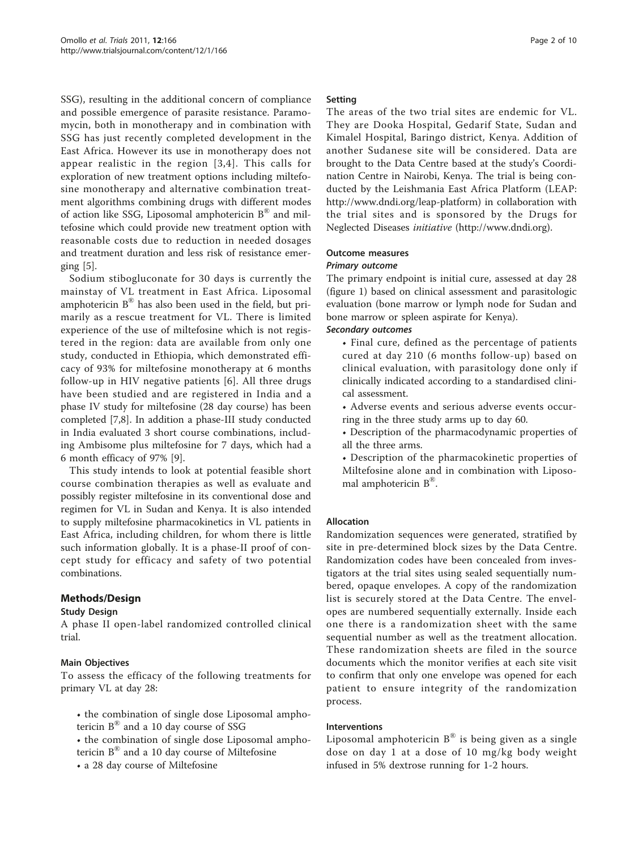SSG), resulting in the additional concern of compliance and possible emergence of parasite resistance. Paramomycin, both in monotherapy and in combination with SSG has just recently completed development in the East Africa. However its use in monotherapy does not appear realistic in the region [[3,4\]](#page-8-0). This calls for exploration of new treatment options including miltefosine monotherapy and alternative combination treatment algorithms combining drugs with different modes of action like SSG, Liposomal amphotericin  $B^{\infty}$  and miltefosine which could provide new treatment option with reasonable costs due to reduction in needed dosages and treatment duration and less risk of resistance emerging  $[5]$  $[5]$ .

Sodium stibogluconate for 30 days is currently the mainstay of VL treatment in East Africa. Liposomal amphotericin  $B^{\otimes}$  has also been used in the field, but primarily as a rescue treatment for VL. There is limited experience of the use of miltefosine which is not registered in the region: data are available from only one study, conducted in Ethiopia, which demonstrated efficacy of 93% for miltefosine monotherapy at 6 months follow-up in HIV negative patients [[6](#page-9-0)]. All three drugs have been studied and are registered in India and a phase IV study for miltefosine (28 day course) has been completed [[7,8\]](#page-9-0). In addition a phase-III study conducted in India evaluated 3 short course combinations, including Ambisome plus miltefosine for 7 days, which had a 6 month efficacy of 97% [[9\]](#page-9-0).

This study intends to look at potential feasible short course combination therapies as well as evaluate and possibly register miltefosine in its conventional dose and regimen for VL in Sudan and Kenya. It is also intended to supply miltefosine pharmacokinetics in VL patients in East Africa, including children, for whom there is little such information globally. It is a phase-II proof of concept study for efficacy and safety of two potential combinations.

# Methods/Design

# Study Design

A phase II open-label randomized controlled clinical trial.

# Main Objectives

To assess the efficacy of the following treatments for primary VL at day 28:

- the combination of single dose Liposomal amphotericin  $B^{\text{B}}$  and a 10 day course of SSG
- the combination of single dose Liposomal amphotericin  $B^{\circledR}$  and a 10 day course of Miltefosine
- a 28 day course of Miltefosine

#### **Setting**

The areas of the two trial sites are endemic for VL. They are Dooka Hospital, Gedarif State, Sudan and Kimalel Hospital, Baringo district, Kenya. Addition of another Sudanese site will be considered. Data are brought to the Data Centre based at the study's Coordination Centre in Nairobi, Kenya. The trial is being conducted by the Leishmania East Africa Platform (LEAP: <http://www.dndi.org/leap-platform>) in collaboration with the trial sites and is sponsored by the Drugs for Neglected Diseases initiative [\(http://www.dndi.org\)](http://www.dndi.org).

# Outcome measures

#### Primary outcome

The primary endpoint is initial cure, assessed at day 28 (figure [1\)](#page-2-0) based on clinical assessment and parasitologic evaluation (bone marrow or lymph node for Sudan and bone marrow or spleen aspirate for Kenya).

# Secondary outcomes

- Final cure, defined as the percentage of patients cured at day 210 (6 months follow-up) based on clinical evaluation, with parasitology done only if clinically indicated according to a standardised clinical assessment.
- Adverse events and serious adverse events occurring in the three study arms up to day 60.
- Description of the pharmacodynamic properties of all the three arms.
- Description of the pharmacokinetic properties of Miltefosine alone and in combination with Liposomal amphotericin B®.

# Allocation

Randomization sequences were generated, stratified by site in pre-determined block sizes by the Data Centre. Randomization codes have been concealed from investigators at the trial sites using sealed sequentially numbered, opaque envelopes. A copy of the randomization list is securely stored at the Data Centre. The envelopes are numbered sequentially externally. Inside each one there is a randomization sheet with the same sequential number as well as the treatment allocation. These randomization sheets are filed in the source documents which the monitor verifies at each site visit to confirm that only one envelope was opened for each patient to ensure integrity of the randomization process.

# Interventions

Liposomal amphotericin  $B^{\otimes}$  is being given as a single dose on day 1 at a dose of 10 mg/kg body weight infused in 5% dextrose running for 1-2 hours.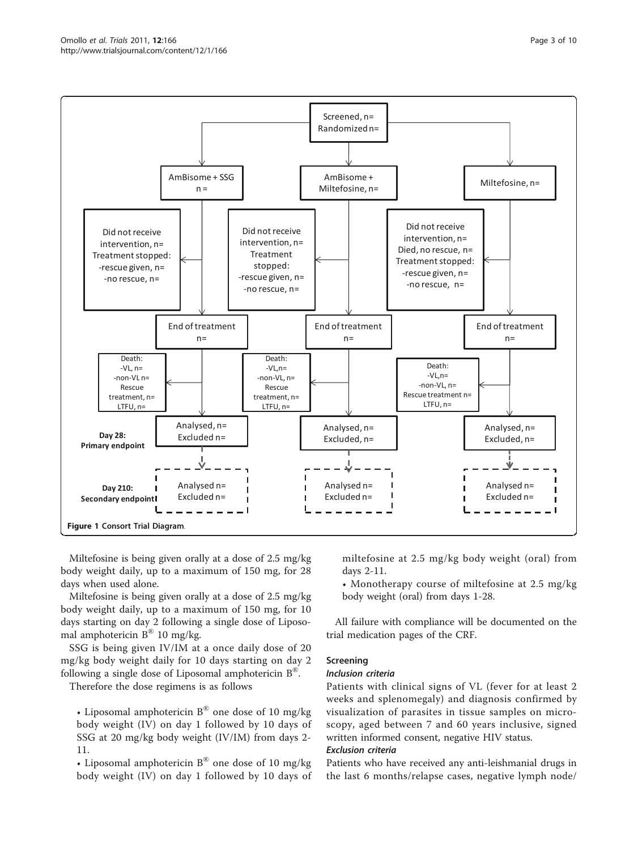<span id="page-2-0"></span>

Miltefosine is being given orally at a dose of 2.5 mg/kg body weight daily, up to a maximum of 150 mg, for 28 days when used alone.

Miltefosine is being given orally at a dose of 2.5 mg/kg body weight daily, up to a maximum of 150 mg, for 10 days starting on day 2 following a single dose of Liposomal amphotericin  $B^{\text{R}}$  10 mg/kg.

SSG is being given IV/IM at a once daily dose of 20 mg/kg body weight daily for 10 days starting on day 2 following a single dose of Liposomal amphotericin  $B^{\infty}$ .

Therefore the dose regimens is as follows

• Liposomal amphotericin  $B^{\otimes}$  one dose of 10 mg/kg body weight (IV) on day 1 followed by 10 days of SSG at 20 mg/kg body weight (IV/IM) from days 2- 11.

• Liposomal amphotericin  $B^{\otimes}$  one dose of 10 mg/kg body weight (IV) on day 1 followed by 10 days of miltefosine at 2.5 mg/kg body weight (oral) from days 2-11.

• Monotherapy course of miltefosine at 2.5 mg/kg body weight (oral) from days 1-28.

All failure with compliance will be documented on the trial medication pages of the CRF.

# Screening

#### Inclusion criteria

Patients with clinical signs of VL (fever for at least 2 weeks and splenomegaly) and diagnosis confirmed by visualization of parasites in tissue samples on microscopy, aged between 7 and 60 years inclusive, signed written informed consent, negative HIV status.

#### Exclusion criteria

Patients who have received any anti-leishmanial drugs in the last 6 months/relapse cases, negative lymph node/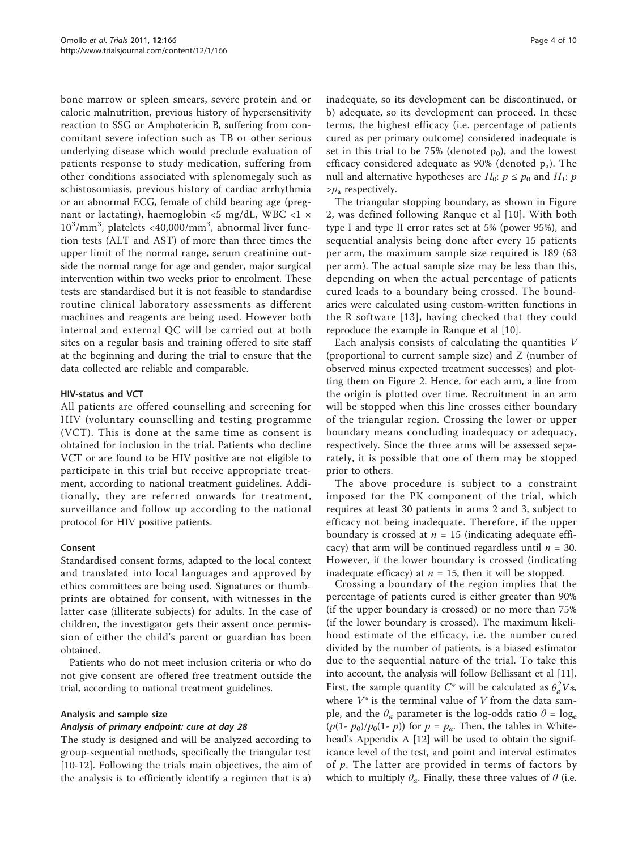bone marrow or spleen smears, severe protein and or caloric malnutrition, previous history of hypersensitivity reaction to SSG or Amphotericin B, suffering from concomitant severe infection such as TB or other serious underlying disease which would preclude evaluation of patients response to study medication, suffering from other conditions associated with splenomegaly such as schistosomiasis, previous history of cardiac arrhythmia or an abnormal ECG, female of child bearing age (pregnant or lactating), haemoglobin <5 mg/dL, WBC <1 ×  $10^3/\text{mm}^3$ , platelets <40,000/mm<sup>3</sup>, abnormal liver function tests (ALT and AST) of more than three times the upper limit of the normal range, serum creatinine outside the normal range for age and gender, major surgical intervention within two weeks prior to enrolment. These tests are standardised but it is not feasible to standardise routine clinical laboratory assessments as different machines and reagents are being used. However both internal and external QC will be carried out at both sites on a regular basis and training offered to site staff at the beginning and during the trial to ensure that the data collected are reliable and comparable.

#### HIV-status and VCT

All patients are offered counselling and screening for HIV (voluntary counselling and testing programme (VCT). This is done at the same time as consent is obtained for inclusion in the trial. Patients who decline VCT or are found to be HIV positive are not eligible to participate in this trial but receive appropriate treatment, according to national treatment guidelines. Additionally, they are referred onwards for treatment, surveillance and follow up according to the national protocol for HIV positive patients.

#### Consent

Standardised consent forms, adapted to the local context and translated into local languages and approved by ethics committees are being used. Signatures or thumbprints are obtained for consent, with witnesses in the latter case (illiterate subjects) for adults. In the case of children, the investigator gets their assent once permission of either the child's parent or guardian has been obtained.

Patients who do not meet inclusion criteria or who do not give consent are offered free treatment outside the trial, according to national treatment guidelines.

#### Analysis and sample size

# Analysis of primary endpoint: cure at day 28

The study is designed and will be analyzed according to group-sequential methods, specifically the triangular test [[10-12\]](#page-9-0). Following the trials main objectives, the aim of the analysis is to efficiently identify a regimen that is a)

inadequate, so its development can be discontinued, or b) adequate, so its development can proceed. In these terms, the highest efficacy (i.e. percentage of patients cured as per primary outcome) considered inadequate is set in this trial to be 75% (denoted  $p_0$ ), and the lowest efficacy considered adequate as  $90\%$  (denoted  $p_a$ ). The null and alternative hypotheses are  $H_0$ :  $p \leq p_0$  and  $H_1$ : p  $> p_{\rm a}$  respectively.

The triangular stopping boundary, as shown in Figure [2,](#page-4-0) was defined following Ranque et al [\[10\]](#page-9-0). With both type I and type II error rates set at 5% (power 95%), and sequential analysis being done after every 15 patients per arm, the maximum sample size required is 189 (63 per arm). The actual sample size may be less than this, depending on when the actual percentage of patients cured leads to a boundary being crossed. The boundaries were calculated using custom-written functions in the R software [[13\]](#page-9-0), having checked that they could reproduce the example in Ranque et al [\[10](#page-9-0)].

Each analysis consists of calculating the quantities V (proportional to current sample size) and Z (number of observed minus expected treatment successes) and plotting them on Figure [2.](#page-4-0) Hence, for each arm, a line from the origin is plotted over time. Recruitment in an arm will be stopped when this line crosses either boundary of the triangular region. Crossing the lower or upper boundary means concluding inadequacy or adequacy, respectively. Since the three arms will be assessed separately, it is possible that one of them may be stopped prior to others.

The above procedure is subject to a constraint imposed for the PK component of the trial, which requires at least 30 patients in arms 2 and 3, subject to efficacy not being inadequate. Therefore, if the upper boundary is crossed at  $n = 15$  (indicating adequate efficacy) that arm will be continued regardless until  $n = 30$ . However, if the lower boundary is crossed (indicating inadequate efficacy) at  $n = 15$ , then it will be stopped.

Crossing a boundary of the region implies that the percentage of patients cured is either greater than 90% (if the upper boundary is crossed) or no more than 75% (if the lower boundary is crossed). The maximum likelihood estimate of the efficacy, i.e. the number cured divided by the number of patients, is a biased estimator due to the sequential nature of the trial. To take this into account, the analysis will follow Bellissant et al [[11](#page-9-0)]. First, the sample quantity  $C^*$  will be calculated as  $\theta_a^2 V^*$ , where  $V^*$  is the terminal value of  $V$  from the data sample, and the  $\theta_a$  parameter is the log-odds ratio  $\theta = \log_e$  $(p(1-p_0)/p_0(1-p))$  for  $p = p_a$ . Then, the tables in White-head's Appendix A [[12\]](#page-9-0) will be used to obtain the significance level of the test, and point and interval estimates of  $p$ . The latter are provided in terms of factors by which to multiply  $\theta_a$ . Finally, these three values of  $\theta$  (i.e.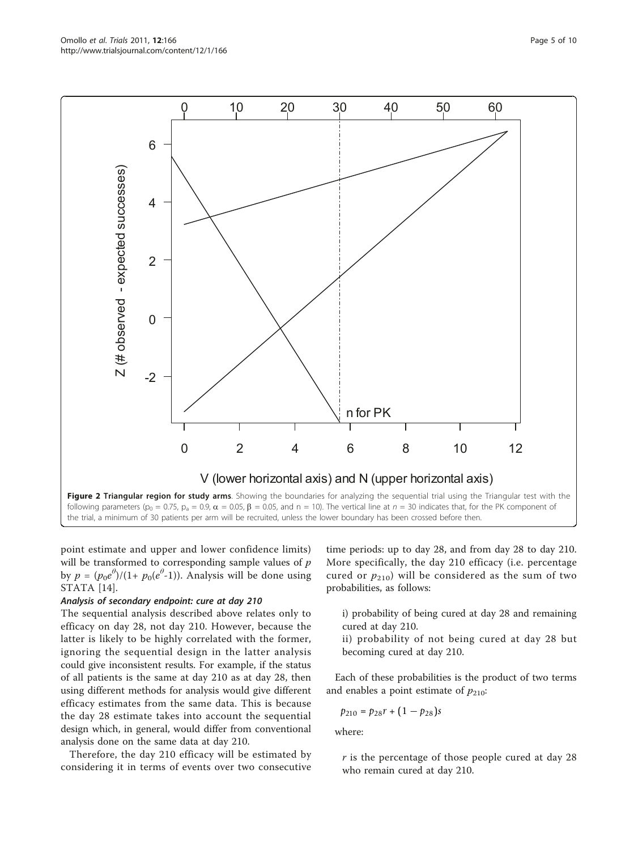<span id="page-4-0"></span>

point estimate and upper and lower confidence limits) will be transformed to corresponding sample values of  $p$ by  $p = (p_0 e^{\theta})/(1 + p_0(e^{\theta} - 1))$ . Analysis will be done using STATA [[14\]](#page-9-0).

#### Analysis of secondary endpoint: cure at day 210

The sequential analysis described above relates only to efficacy on day 28, not day 210. However, because the latter is likely to be highly correlated with the former, ignoring the sequential design in the latter analysis could give inconsistent results. For example, if the status of all patients is the same at day 210 as at day 28, then using different methods for analysis would give different efficacy estimates from the same data. This is because the day 28 estimate takes into account the sequential design which, in general, would differ from conventional analysis done on the same data at day 210.

Therefore, the day 210 efficacy will be estimated by considering it in terms of events over two consecutive

time periods: up to day 28, and from day 28 to day 210. More specifically, the day 210 efficacy (i.e. percentage cured or  $p_{210}$ ) will be considered as the sum of two probabilities, as follows:

i) probability of being cured at day 28 and remaining cured at day 210.

ii) probability of not being cured at day 28 but becoming cured at day 210.

Each of these probabilities is the product of two terms and enables a point estimate of  $p_{210}$ :

$$
p_{210} = p_{28}r + (1-p_{28})s
$$

where:

 $r$  is the percentage of those people cured at day 28 who remain cured at day 210.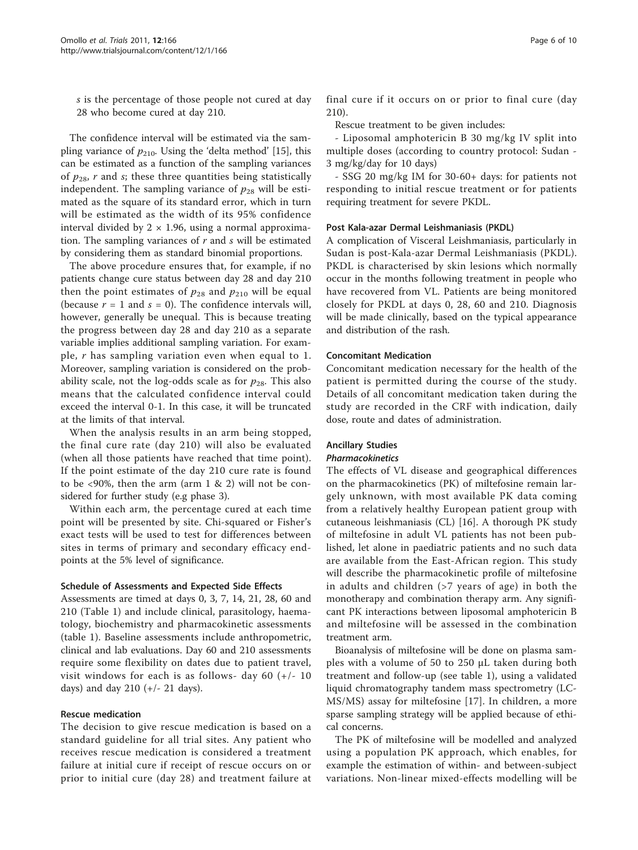s is the percentage of those people not cured at day 28 who become cured at day 210.

The confidence interval will be estimated via the sampling variance of  $p_{210}$ . Using the 'delta method' [\[15](#page-9-0)], this can be estimated as a function of the sampling variances of  $p_{28}$ , r and s; these three quantities being statistically independent. The sampling variance of  $p_{28}$  will be estimated as the square of its standard error, which in turn will be estimated as the width of its 95% confidence interval divided by  $2 \times 1.96$ , using a normal approximation. The sampling variances of  $r$  and  $s$  will be estimated by considering them as standard binomial proportions.

The above procedure ensures that, for example, if no patients change cure status between day 28 and day 210 then the point estimates of  $p_{28}$  and  $p_{210}$  will be equal (because  $r = 1$  and  $s = 0$ ). The confidence intervals will, however, generally be unequal. This is because treating the progress between day 28 and day 210 as a separate variable implies additional sampling variation. For example, r has sampling variation even when equal to 1. Moreover, sampling variation is considered on the probability scale, not the log-odds scale as for  $p_{28}$ . This also means that the calculated confidence interval could exceed the interval 0-1. In this case, it will be truncated at the limits of that interval.

When the analysis results in an arm being stopped, the final cure rate (day 210) will also be evaluated (when all those patients have reached that time point). If the point estimate of the day 210 cure rate is found to be  $\langle 90\%$ , then the arm (arm 1 & 2) will not be considered for further study (e.g phase 3).

Within each arm, the percentage cured at each time point will be presented by site. Chi-squared or Fisher's exact tests will be used to test for differences between sites in terms of primary and secondary efficacy endpoints at the 5% level of significance.

#### Schedule of Assessments and Expected Side Effects

Assessments are timed at days 0, 3, 7, 14, 21, 28, 60 and 210 (Table [1](#page-6-0)) and include clinical, parasitology, haematology, biochemistry and pharmacokinetic assessments (table [1\)](#page-6-0). Baseline assessments include anthropometric, clinical and lab evaluations. Day 60 and 210 assessments require some flexibility on dates due to patient travel, visit windows for each is as follows- day 60  $(+/- 10$ days) and day  $210 (+/- 21$  days).

# Rescue medication

The decision to give rescue medication is based on a standard guideline for all trial sites. Any patient who receives rescue medication is considered a treatment failure at initial cure if receipt of rescue occurs on or prior to initial cure (day 28) and treatment failure at final cure if it occurs on or prior to final cure (day 210).

Rescue treatment to be given includes:

- Liposomal amphotericin B 30 mg/kg IV split into multiple doses (according to country protocol: Sudan - 3 mg/kg/day for 10 days)

- SSG 20 mg/kg IM for 30-60+ days: for patients not responding to initial rescue treatment or for patients requiring treatment for severe PKDL.

#### Post Kala-azar Dermal Leishmaniasis (PKDL)

A complication of Visceral Leishmaniasis, particularly in Sudan is post-Kala-azar Dermal Leishmaniasis (PKDL). PKDL is characterised by skin lesions which normally occur in the months following treatment in people who have recovered from VL. Patients are being monitored closely for PKDL at days 0, 28, 60 and 210. Diagnosis will be made clinically, based on the typical appearance and distribution of the rash.

# Concomitant Medication

Concomitant medication necessary for the health of the patient is permitted during the course of the study. Details of all concomitant medication taken during the study are recorded in the CRF with indication, daily dose, route and dates of administration.

# Ancillary Studies

#### Pharmacokinetics

The effects of VL disease and geographical differences on the pharmacokinetics (PK) of miltefosine remain largely unknown, with most available PK data coming from a relatively healthy European patient group with cutaneous leishmaniasis (CL) [\[16](#page-9-0)]. A thorough PK study of miltefosine in adult VL patients has not been published, let alone in paediatric patients and no such data are available from the East-African region. This study will describe the pharmacokinetic profile of miltefosine in adults and children (>7 years of age) in both the monotherapy and combination therapy arm. Any significant PK interactions between liposomal amphotericin B and miltefosine will be assessed in the combination treatment arm.

Bioanalysis of miltefosine will be done on plasma samples with a volume of 50 to 250 μL taken during both treatment and follow-up (see table [1\)](#page-6-0), using a validated liquid chromatography tandem mass spectrometry (LC-MS/MS) assay for miltefosine [\[17](#page-9-0)]. In children, a more sparse sampling strategy will be applied because of ethical concerns.

The PK of miltefosine will be modelled and analyzed using a population PK approach, which enables, for example the estimation of within- and between-subject variations. Non-linear mixed-effects modelling will be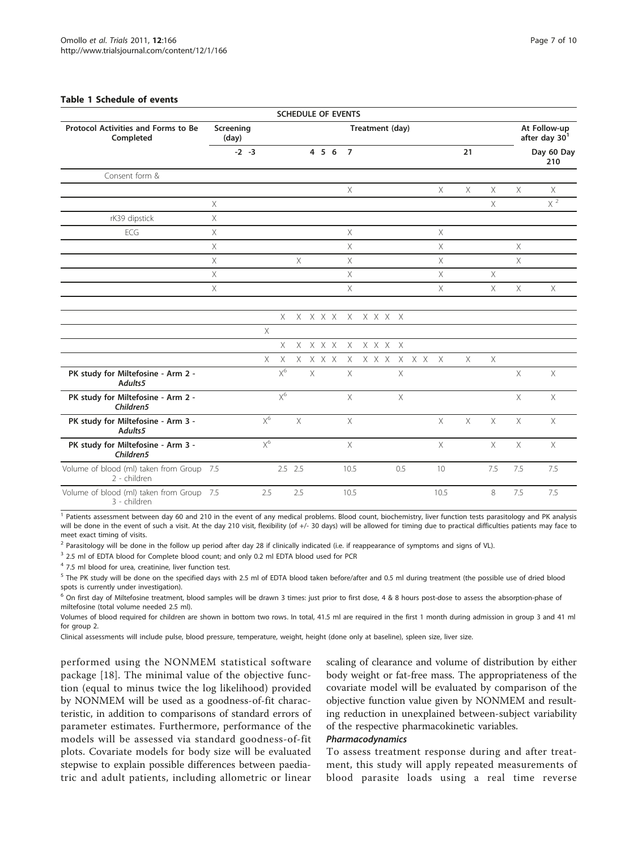#### <span id="page-6-0"></span>Table 1 Schedule of events

| <b>SCHEDULE OF EVENTS</b>                                 |                    |         |          |                 |           |          |  |         |           |  |         |  |          |  |  |               |          |          |          |                                           |  |
|-----------------------------------------------------------|--------------------|---------|----------|-----------------|-----------|----------|--|---------|-----------|--|---------|--|----------|--|--|---------------|----------|----------|----------|-------------------------------------------|--|
| Protocol Activities and Forms to Be<br>Completed          | Screening<br>(day) |         |          | Treatment (day) |           |          |  |         |           |  |         |  |          |  |  |               |          |          |          | At Follow-up<br>after day 30 <sup>1</sup> |  |
|                                                           |                    | $-2 -3$ |          |                 |           |          |  | 4 5 6 7 |           |  |         |  |          |  |  |               | 21       |          |          | Day 60 Day<br>210                         |  |
| Consent form &                                            |                    |         |          |                 |           |          |  |         |           |  |         |  |          |  |  |               |          |          |          |                                           |  |
|                                                           |                    |         |          |                 |           |          |  |         | $\times$  |  |         |  |          |  |  | $\times$      | $\times$ | $\times$ | $\times$ | $\times$                                  |  |
|                                                           | $\times$           |         |          |                 |           |          |  |         |           |  |         |  |          |  |  |               |          | $\times$ |          | $X^2$                                     |  |
| rK39 dipstick                                             | $\times$           |         |          |                 |           |          |  |         |           |  |         |  |          |  |  |               |          |          |          |                                           |  |
| ECG                                                       | $\mathsf X$        |         |          |                 |           |          |  |         | $\times$  |  |         |  |          |  |  | $\times$      |          |          |          |                                           |  |
|                                                           | $\times$           |         |          |                 |           |          |  |         | $\times$  |  |         |  |          |  |  | $\times$      |          |          | $\times$ |                                           |  |
|                                                           | $\times$           |         |          |                 | $\times$  |          |  |         | $\times$  |  |         |  |          |  |  | $\times$      |          |          | $\times$ |                                           |  |
|                                                           | $\times$           |         |          |                 |           |          |  |         | $\times$  |  |         |  |          |  |  | $\times$      |          | $\times$ |          |                                           |  |
|                                                           | $\mathsf X$        |         |          |                 |           |          |  |         | $\times$  |  |         |  |          |  |  | $\mathsf X$   |          | $\times$ | $\times$ | $\times$                                  |  |
|                                                           |                    |         |          |                 |           |          |  |         |           |  |         |  |          |  |  |               |          |          |          |                                           |  |
|                                                           |                    |         |          | $\times$        | X X X X   |          |  |         | X X X X X |  |         |  |          |  |  |               |          |          |          |                                           |  |
|                                                           |                    |         | $\times$ |                 |           |          |  |         |           |  |         |  |          |  |  |               |          |          |          |                                           |  |
|                                                           |                    |         |          | $\times$        |           | X X X X  |  |         | $\times$  |  | X X X X |  |          |  |  |               |          |          |          |                                           |  |
|                                                           |                    |         | $X -$    | $\times$        |           | X X X X  |  |         | X         |  |         |  |          |  |  | X X X X X X X | $\times$ | $\times$ |          |                                           |  |
| PK study for Miltefosine - Arm 2 -<br>Adults5             |                    |         |          | $X^6$           |           | $\times$ |  |         | $\times$  |  |         |  | $\times$ |  |  |               |          |          | $\times$ | $\times$                                  |  |
| PK study for Miltefosine - Arm 2 -<br>Children5           |                    |         |          | $\mathsf{X}^6$  |           |          |  |         | $\times$  |  |         |  | $\times$ |  |  |               |          |          | $\times$ | $\times$                                  |  |
| PK study for Miltefosine - Arm 3 -<br>Adults5             |                    |         | $X^6$    |                 | $\times$  |          |  |         | $\times$  |  |         |  |          |  |  | $\times$      | $\times$ | $\times$ | $\times$ | $\times$                                  |  |
| PK study for Miltefosine - Arm 3 -<br>Children5           |                    |         | $X^6$    |                 |           |          |  |         | $\times$  |  |         |  |          |  |  | $\times$      |          | $\times$ | $\times$ | $\times$                                  |  |
| Volume of blood (ml) taken from Group 7.5<br>2 - children |                    |         |          |                 | $2.5$ 2.5 |          |  |         | 10.5      |  |         |  | 0.5      |  |  | 10            |          | 7.5      | 7.5      | 7.5                                       |  |
| Volume of blood (ml) taken from Group 7.5<br>3 - children |                    |         | 2.5      |                 | 2.5       |          |  |         | 10.5      |  |         |  |          |  |  | 10.5          |          | 8        | 7.5      | 7.5                                       |  |

<sup>1</sup> Patients assessment between day 60 and 210 in the event of any medical problems. Blood count, biochemistry, liver function tests parasitology and PK analysis will be done in the event of such a visit. At the day 210 visit, flexibility (of +/- 30 days) will be allowed for timing due to practical difficulties patients may face to meet exact timing of visits.

<sup>2</sup> Parasitology will be done in the follow up period after day 28 if clinically indicated (i.e. if reappearance of symptoms and signs of VL).

<sup>3</sup> 2.5 ml of EDTA blood for Complete blood count; and only 0.2 ml EDTA blood used for PCR

<sup>4</sup> 7.5 ml blood for urea, creatinine, liver function test.

<sup>5</sup> The PK study will be done on the specified days with 2.5 ml of EDTA blood taken before/after and 0.5 ml during treatment (the possible use of dried blood spots is currently under investigation).

<sup>6</sup> On first day of Miltefosine treatment, blood samples will be drawn 3 times: just prior to first dose, 4 & 8 hours post-dose to assess the absorption-phase of miltefosine (total volume needed 2.5 ml).

Volumes of blood required for children are shown in bottom two rows. In total, 41.5 ml are required in the first 1 month during admission in group 3 and 41 ml for group 2.

Clinical assessments will include pulse, blood pressure, temperature, weight, height (done only at baseline), spleen size, liver size.

performed using the NONMEM statistical software package [[18\]](#page-9-0). The minimal value of the objective function (equal to minus twice the log likelihood) provided by NONMEM will be used as a goodness-of-fit characteristic, in addition to comparisons of standard errors of parameter estimates. Furthermore, performance of the models will be assessed via standard goodness-of-fit plots. Covariate models for body size will be evaluated stepwise to explain possible differences between paediatric and adult patients, including allometric or linear

scaling of clearance and volume of distribution by either body weight or fat-free mass. The appropriateness of the covariate model will be evaluated by comparison of the objective function value given by NONMEM and resulting reduction in unexplained between-subject variability of the respective pharmacokinetic variables.

#### Pharmacodynamics

To assess treatment response during and after treatment, this study will apply repeated measurements of blood parasite loads using a real time reverse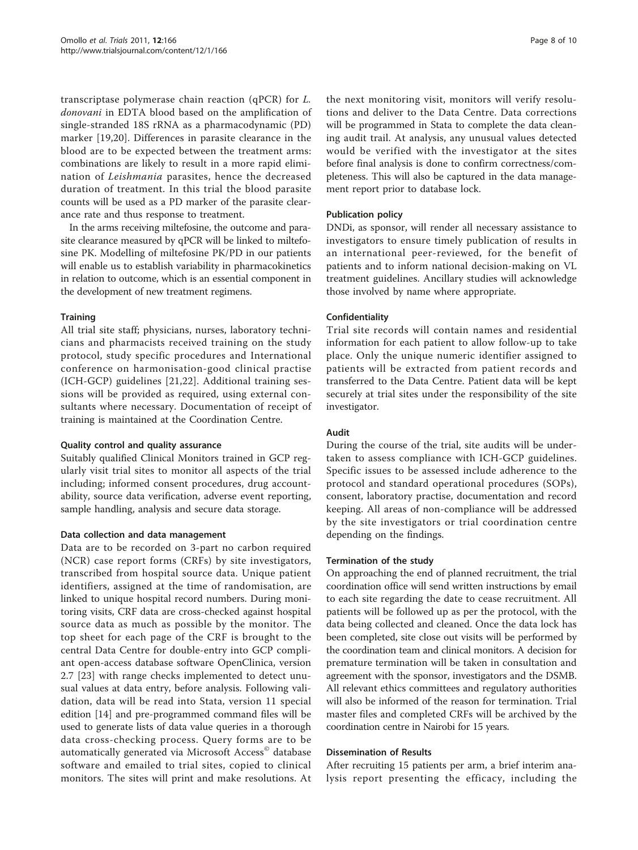transcriptase polymerase chain reaction (qPCR) for L. donovani in EDTA blood based on the amplification of single-stranded 18S rRNA as a pharmacodynamic (PD) marker [\[19](#page-9-0),[20\]](#page-9-0). Differences in parasite clearance in the blood are to be expected between the treatment arms: combinations are likely to result in a more rapid elimination of Leishmania parasites, hence the decreased duration of treatment. In this trial the blood parasite counts will be used as a PD marker of the parasite clearance rate and thus response to treatment.

In the arms receiving miltefosine, the outcome and parasite clearance measured by qPCR will be linked to miltefosine PK. Modelling of miltefosine PK/PD in our patients will enable us to establish variability in pharmacokinetics in relation to outcome, which is an essential component in the development of new treatment regimens.

#### **Training**

All trial site staff; physicians, nurses, laboratory technicians and pharmacists received training on the study protocol, study specific procedures and International conference on harmonisation-good clinical practise (ICH-GCP) guidelines [[21,22](#page-9-0)]. Additional training sessions will be provided as required, using external consultants where necessary. Documentation of receipt of training is maintained at the Coordination Centre.

#### Quality control and quality assurance

Suitably qualified Clinical Monitors trained in GCP regularly visit trial sites to monitor all aspects of the trial including; informed consent procedures, drug accountability, source data verification, adverse event reporting, sample handling, analysis and secure data storage.

# Data collection and data management

Data are to be recorded on 3-part no carbon required (NCR) case report forms (CRFs) by site investigators, transcribed from hospital source data. Unique patient identifiers, assigned at the time of randomisation, are linked to unique hospital record numbers. During monitoring visits, CRF data are cross-checked against hospital source data as much as possible by the monitor. The top sheet for each page of the CRF is brought to the central Data Centre for double-entry into GCP compliant open-access database software OpenClinica, version 2.7 [[23\]](#page-9-0) with range checks implemented to detect unusual values at data entry, before analysis. Following validation, data will be read into Stata, version 11 special edition [[14\]](#page-9-0) and pre-programmed command files will be used to generate lists of data value queries in a thorough data cross-checking process. Query forms are to be automatically generated via Microsoft Access<sup>®</sup> database software and emailed to trial sites, copied to clinical monitors. The sites will print and make resolutions. At

the next monitoring visit, monitors will verify resolutions and deliver to the Data Centre. Data corrections will be programmed in Stata to complete the data cleaning audit trail. At analysis, any unusual values detected would be verified with the investigator at the sites before final analysis is done to confirm correctness/completeness. This will also be captured in the data management report prior to database lock.

# Publication policy

DNDi, as sponsor, will render all necessary assistance to investigators to ensure timely publication of results in an international peer-reviewed, for the benefit of patients and to inform national decision-making on VL treatment guidelines. Ancillary studies will acknowledge those involved by name where appropriate.

# Confidentiality

Trial site records will contain names and residential information for each patient to allow follow-up to take place. Only the unique numeric identifier assigned to patients will be extracted from patient records and transferred to the Data Centre. Patient data will be kept securely at trial sites under the responsibility of the site investigator.

# Audit

During the course of the trial, site audits will be undertaken to assess compliance with ICH-GCP guidelines. Specific issues to be assessed include adherence to the protocol and standard operational procedures (SOPs), consent, laboratory practise, documentation and record keeping. All areas of non-compliance will be addressed by the site investigators or trial coordination centre depending on the findings.

# Termination of the study

On approaching the end of planned recruitment, the trial coordination office will send written instructions by email to each site regarding the date to cease recruitment. All patients will be followed up as per the protocol, with the data being collected and cleaned. Once the data lock has been completed, site close out visits will be performed by the coordination team and clinical monitors. A decision for premature termination will be taken in consultation and agreement with the sponsor, investigators and the DSMB. All relevant ethics committees and regulatory authorities will also be informed of the reason for termination. Trial master files and completed CRFs will be archived by the coordination centre in Nairobi for 15 years.

# Dissemination of Results

After recruiting 15 patients per arm, a brief interim analysis report presenting the efficacy, including the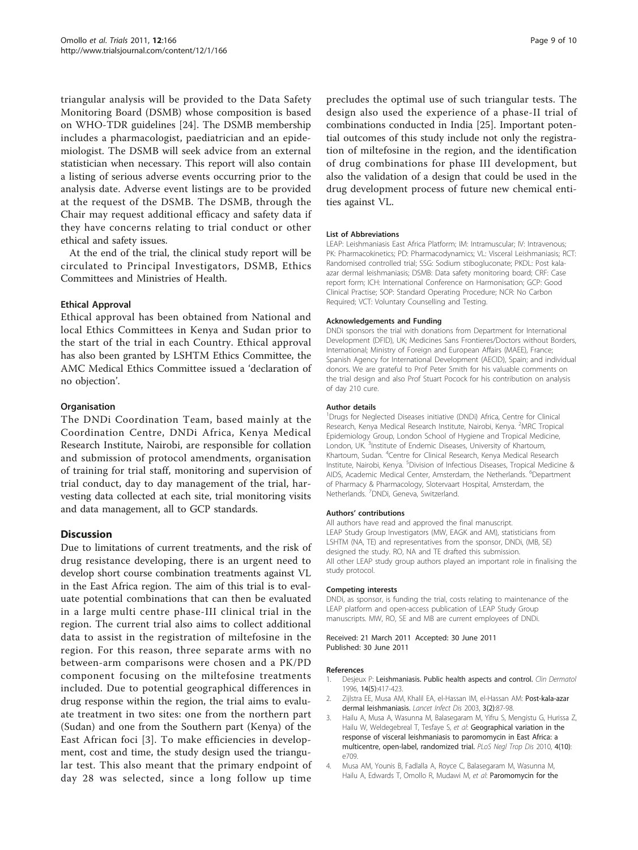<span id="page-8-0"></span>triangular analysis will be provided to the Data Safety Monitoring Board (DSMB) whose composition is based on WHO-TDR guidelines [[24](#page-9-0)]. The DSMB membership includes a pharmacologist, paediatrician and an epidemiologist. The DSMB will seek advice from an external statistician when necessary. This report will also contain a listing of serious adverse events occurring prior to the analysis date. Adverse event listings are to be provided at the request of the DSMB. The DSMB, through the Chair may request additional efficacy and safety data if they have concerns relating to trial conduct or other ethical and safety issues.

At the end of the trial, the clinical study report will be circulated to Principal Investigators, DSMB, Ethics Committees and Ministries of Health.

#### Ethical Approval

Ethical approval has been obtained from National and local Ethics Committees in Kenya and Sudan prior to the start of the trial in each Country. Ethical approval has also been granted by LSHTM Ethics Committee, the AMC Medical Ethics Committee issued a 'declaration of no objection'.

#### **Organisation**

The DNDi Coordination Team, based mainly at the Coordination Centre, DNDi Africa, Kenya Medical Research Institute, Nairobi, are responsible for collation and submission of protocol amendments, organisation of training for trial staff, monitoring and supervision of trial conduct, day to day management of the trial, harvesting data collected at each site, trial monitoring visits and data management, all to GCP standards.

#### **Discussion**

Due to limitations of current treatments, and the risk of drug resistance developing, there is an urgent need to develop short course combination treatments against VL in the East Africa region. The aim of this trial is to evaluate potential combinations that can then be evaluated in a large multi centre phase-III clinical trial in the region. The current trial also aims to collect additional data to assist in the registration of miltefosine in the region. For this reason, three separate arms with no between-arm comparisons were chosen and a PK/PD component focusing on the miltefosine treatments included. Due to potential geographical differences in drug response within the region, the trial aims to evaluate treatment in two sites: one from the northern part (Sudan) and one from the Southern part (Kenya) of the East African foci [3]. To make efficiencies in development, cost and time, the study design used the triangular test. This also meant that the primary endpoint of day 28 was selected, since a long follow up time

precludes the optimal use of such triangular tests. The design also used the experience of a phase-II trial of combinations conducted in India [\[25\]](#page-9-0). Important potential outcomes of this study include not only the registration of miltefosine in the region, and the identification of drug combinations for phase III development, but also the validation of a design that could be used in the drug development process of future new chemical entities against VL.

#### List of Abbreviations

LEAP: Leishmaniasis East Africa Platform; IM: Intramuscular; IV: Intravenous; PK: Pharmacokinetics; PD: Pharmacodynamics; VL: Visceral Leishmaniasis; RCT: Randomised controlled trial; SSG: Sodium stibogluconate; PKDL: Post kalaazar dermal leishmaniasis; DSMB: Data safety monitoring board; CRF: Case report form; ICH: International Conference on Harmonisation; GCP: Good Clinical Practise; SOP: Standard Operating Procedure; NCR: No Carbon Required; VCT: Voluntary Counselling and Testing.

#### Acknowledgements and Funding

DNDi sponsors the trial with donations from Department for International Development (DFID), UK; Medicines Sans Frontieres/Doctors without Borders, International; Ministry of Foreign and European Affairs (MAEE), France; Spanish Agency for International Development (AECID), Spain; and individual donors. We are grateful to Prof Peter Smith for his valuable comments on the trial design and also Prof Stuart Pocock for his contribution on analysis of day 210 cure.

#### Author details

<sup>1</sup>Drugs for Neglected Diseases initiative (DNDi) Africa, Centre for Clinical Research, Kenya Medical Research Institute, Nairobi, Kenya. <sup>2</sup>MRC Tropical Epidemiology Group, London School of Hygiene and Tropical Medicine, London, UK.<sup>3</sup>Institute of Endemic Diseases, University of Khartoum, Khartoum, Sudan. <sup>4</sup>Centre for Clinical Research, Kenya Medical Research Institute, Nairobi, Kenya. <sup>5</sup>Division of Infectious Diseases, Tropical Medicine 8 AIDS, Academic Medical Center, Amsterdam, the Netherlands. <sup>6</sup>Department of Pharmacy & Pharmacology, Slotervaart Hospital, Amsterdam, the Netherlands. <sup>7</sup> DNDi, Geneva, Switzerland.

#### Authors' contributions

All authors have read and approved the final manuscript. LEAP Study Group Investigators (MW, EAGK and AM), statisticians from LSHTM (NA, TE) and representatives from the sponsor, DNDi, (MB, SE) designed the study. RO, NA and TE drafted this submission. All other LEAP study group authors played an important role in finalising the study protocol.

#### Competing interests

DNDi, as sponsor, is funding the trial, costs relating to maintenance of the LEAP platform and open-access publication of LEAP Study Group manuscripts. MW, RO, SE and MB are current employees of DNDi.

Received: 21 March 2011 Accepted: 30 June 2011 Published: 30 June 2011

#### References

- 1. Desjeux P: [Leishmaniasis. Public health aspects and control.](http://www.ncbi.nlm.nih.gov/pubmed/8889319?dopt=Abstract) Clin Dermatol 1996, 14(5):417-423.
- 2. Zijlstra EE, Musa AM, Khalil EA, el-Hassan IM, el-Hassan AM: [Post-kala-azar](http://www.ncbi.nlm.nih.gov/pubmed/12560194?dopt=Abstract) [dermal leishmaniasis.](http://www.ncbi.nlm.nih.gov/pubmed/12560194?dopt=Abstract) Lancet Infect Dis 2003, 3(2):87-98.
- 3. Hailu A, Musa A, Wasunna M, Balasegaram M, Yifru S, Mengistu G, Hurissa Z, Hailu W, Weldegebreal T, Tesfaye S, et al: [Geographical variation in the](http://www.ncbi.nlm.nih.gov/pubmed/21049059?dopt=Abstract) [response of visceral leishmaniasis to paromomycin in East Africa: a](http://www.ncbi.nlm.nih.gov/pubmed/21049059?dopt=Abstract) [multicentre, open-label, randomized trial.](http://www.ncbi.nlm.nih.gov/pubmed/21049059?dopt=Abstract) PLoS Negl Trop Dis 2010, 4(10): e709.
- 4. Musa AM, Younis B, Fadlalla A, Royce C, Balasegaram M, Wasunna M, Hailu A, Edwards T, Omollo R, Mudawi M, et al: [Paromomycin for the](http://www.ncbi.nlm.nih.gov/pubmed/21049063?dopt=Abstract)